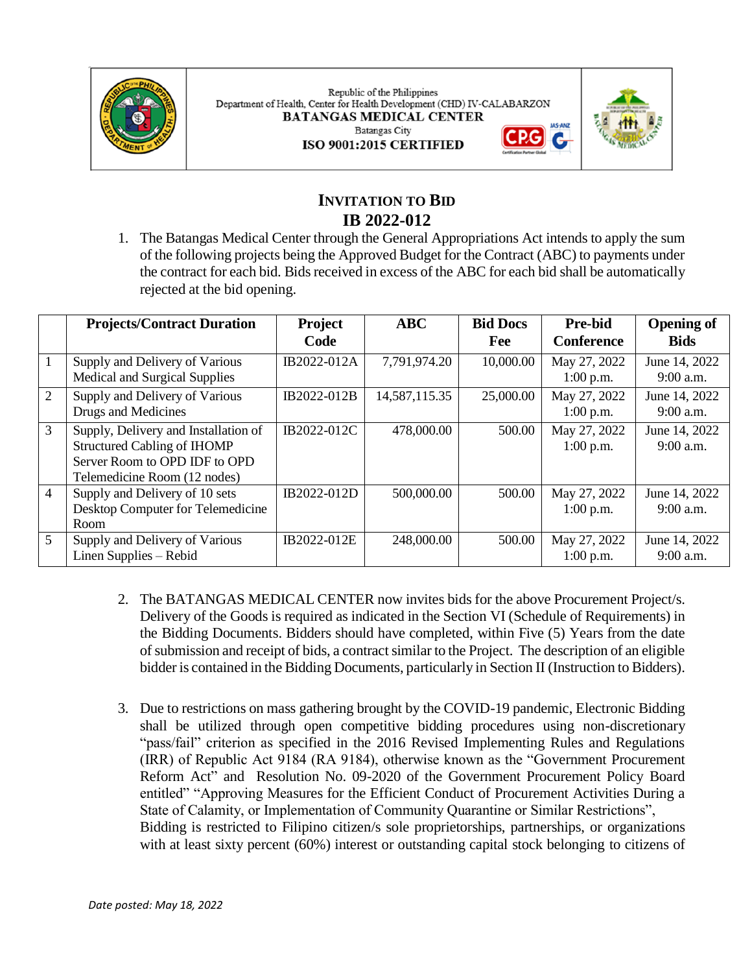

Republic of the Philippines Department of Health, Center for Health Development (CHD) IV-CALABARZON **BATANGAS MEDICAL CENTER Batangas City** ISO 9001:2015 CERTIFIED





# **INVITATION TO BID IB 2022-012**

1. The Batangas Medical Center through the General Appropriations Act intends to apply the sum of the following projects being the Approved Budget for the Contract (ABC) to payments under the contract for each bid. Bids received in excess of the ABC for each bid shall be automatically rejected at the bid opening.

|                | <b>Projects/Contract Duration</b>                                                                                                           | Project<br>Code | ABC           | <b>Bid Docs</b><br><b>Fee</b> | <b>Pre-bid</b><br><b>Conference</b> | <b>Opening of</b><br><b>Bids</b> |
|----------------|---------------------------------------------------------------------------------------------------------------------------------------------|-----------------|---------------|-------------------------------|-------------------------------------|----------------------------------|
|                | Supply and Delivery of Various<br>Medical and Surgical Supplies                                                                             | IB2022-012A     | 7,791,974.20  | 10,000.00                     | May 27, 2022<br>$1:00$ p.m.         | June 14, 2022<br>9:00 a.m.       |
| 2              | Supply and Delivery of Various<br>Drugs and Medicines                                                                                       | IB2022-012B     | 14,587,115.35 | 25,000.00                     | May 27, 2022<br>$1:00$ p.m.         | June 14, 2022<br>9:00 a.m.       |
| $\overline{3}$ | Supply, Delivery and Installation of<br><b>Structured Cabling of IHOMP</b><br>Server Room to OPD IDF to OPD<br>Telemedicine Room (12 nodes) | IB2022-012C     | 478,000.00    | 500.00                        | May 27, 2022<br>$1:00$ p.m.         | June 14, 2022<br>$9:00$ a.m.     |
| $\overline{4}$ | Supply and Delivery of 10 sets<br>Desktop Computer for Telemedicine<br>Room                                                                 | IB2022-012D     | 500,000.00    | 500.00                        | May 27, 2022<br>$1:00$ p.m.         | June 14, 2022<br>$9:00$ a.m.     |
| 5              | Supply and Delivery of Various<br>Linen Supplies - Rebid                                                                                    | IB2022-012E     | 248,000.00    | 500.00                        | May 27, 2022<br>$1:00$ p.m.         | June 14, 2022<br>9:00 a.m.       |

- 2. The BATANGAS MEDICAL CENTER now invites bids for the above Procurement Project/s. Delivery of the Goods is required as indicated in the Section VI (Schedule of Requirements) in the Bidding Documents. Bidders should have completed, within Five (5) Years from the date of submission and receipt of bids, a contract similar to the Project. The description of an eligible bidder is contained in the Bidding Documents, particularly in Section II (Instruction to Bidders).
- 3. Due to restrictions on mass gathering brought by the COVID-19 pandemic, Electronic Bidding shall be utilized through open competitive bidding procedures using non-discretionary "pass/fail" criterion as specified in the 2016 Revised Implementing Rules and Regulations (IRR) of Republic Act 9184 (RA 9184), otherwise known as the "Government Procurement Reform Act" and Resolution No. 09-2020 of the Government Procurement Policy Board entitled" "Approving Measures for the Efficient Conduct of Procurement Activities During a State of Calamity, or Implementation of Community Quarantine or Similar Restrictions", Bidding is restricted to Filipino citizen/s sole proprietorships, partnerships, or organizations with at least sixty percent (60%) interest or outstanding capital stock belonging to citizens of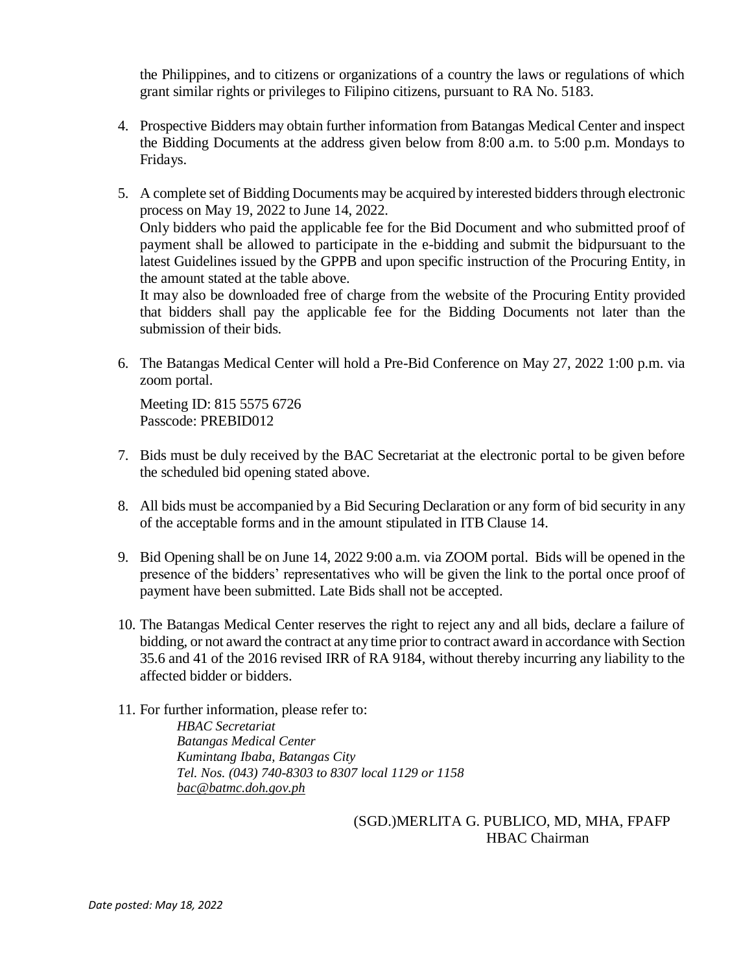the Philippines, and to citizens or organizations of a country the laws or regulations of which grant similar rights or privileges to Filipino citizens, pursuant to RA No. 5183.

- 4. Prospective Bidders may obtain further information from Batangas Medical Center and inspect the Bidding Documents at the address given below from 8:00 a.m. to 5:00 p.m. Mondays to Fridays.
- 5. A complete set of Bidding Documents may be acquired by interested bidders through electronic process on May 19, 2022 to June 14, 2022. Only bidders who paid the applicable fee for the Bid Document and who submitted proof of payment shall be allowed to participate in the e-bidding and submit the bidpursuant to the latest Guidelines issued by the GPPB and upon specific instruction of the Procuring Entity, in the amount stated at the table above. It may also be downloaded free of charge from the website of the Procuring Entity provided

that bidders shall pay the applicable fee for the Bidding Documents not later than the submission of their bids.

6. The Batangas Medical Center will hold a Pre-Bid Conference on May 27, 2022 1:00 p.m. via zoom portal.

Meeting ID: 815 5575 6726 Passcode: PREBID012

- 7. Bids must be duly received by the BAC Secretariat at the electronic portal to be given before the scheduled bid opening stated above.
- 8. All bids must be accompanied by a Bid Securing Declaration or any form of bid security in any of the acceptable forms and in the amount stipulated in ITB Clause 14.
- 9. Bid Opening shall be on June 14, 2022 9:00 a.m. via ZOOM portal. Bids will be opened in the presence of the bidders' representatives who will be given the link to the portal once proof of payment have been submitted. Late Bids shall not be accepted.
- 10. The Batangas Medical Center reserves the right to reject any and all bids, declare a failure of bidding, or not award the contract at any time prior to contract award in accordance with Section 35.6 and 41 of the 2016 revised IRR of RA 9184, without thereby incurring any liability to the affected bidder or bidders.
- 11. For further information, please refer to: *HBAC Secretariat Batangas Medical Center Kumintang Ibaba, Batangas City Tel. Nos. (043) 740-8303 to 8307 local 1129 or 1158 [bac@batmc.doh.gov.ph](mailto:bac@batmc.doh.gov.ph)*

(SGD.)MERLITA G. PUBLICO, MD, MHA, FPAFP HBAC Chairman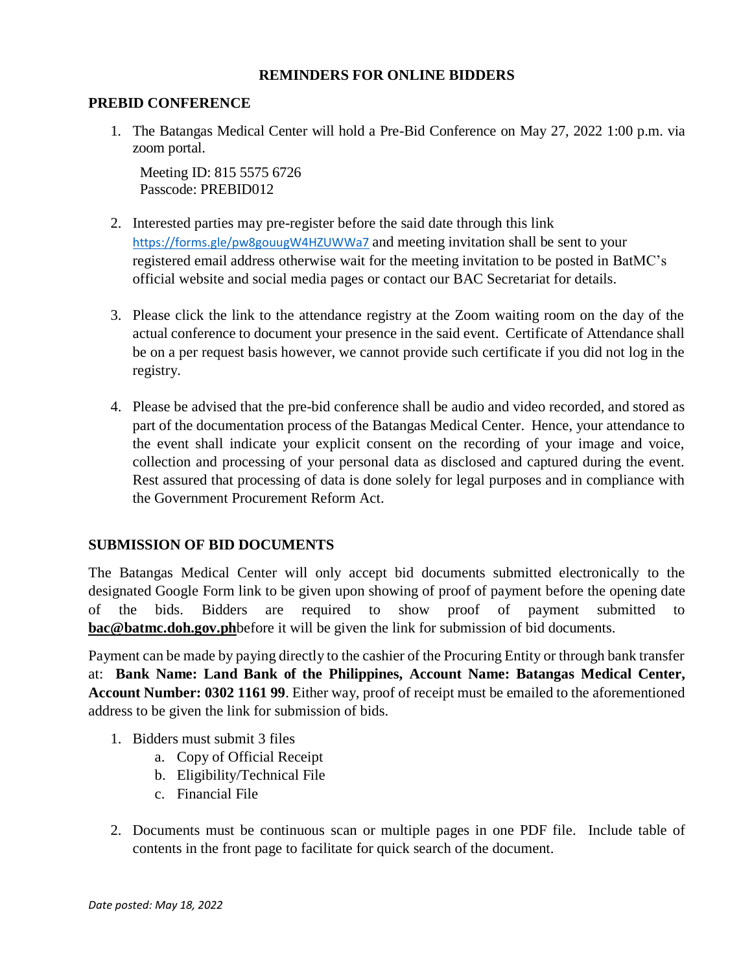### **REMINDERS FOR ONLINE BIDDERS**

#### **PREBID CONFERENCE**

1. The Batangas Medical Center will hold a Pre-Bid Conference on May 27, 2022 1:00 p.m. via zoom portal.

Meeting ID: 815 5575 6726 Passcode: PREBID012

- 2. Interested parties may pre-register before the said date through this link <https://forms.gle/pw8gouugW4HZUWWa7> and meeting invitation shall be sent to your registered email address otherwise wait for the meeting invitation to be posted in BatMC's official website and social media pages or contact our BAC Secretariat for details.
- 3. Please click the link to the attendance registry at the Zoom waiting room on the day of the actual conference to document your presence in the said event. Certificate of Attendance shall be on a per request basis however, we cannot provide such certificate if you did not log in the registry.
- 4. Please be advised that the pre-bid conference shall be audio and video recorded, and stored as part of the documentation process of the Batangas Medical Center. Hence, your attendance to the event shall indicate your explicit consent on the recording of your image and voice, collection and processing of your personal data as disclosed and captured during the event. Rest assured that processing of data is done solely for legal purposes and in compliance with the Government Procurement Reform Act.

## **SUBMISSION OF BID DOCUMENTS**

The Batangas Medical Center will only accept bid documents submitted electronically to the designated Google Form link to be given upon showing of proof of payment before the opening date of the bids. Bidders are required to show proof of payment submitted to **[bac@batmc.doh.gov.ph](mailto:bac@batmc.doh.gov.ph)**before it will be given the link for submission of bid documents.

Payment can be made by paying directly to the cashier of the Procuring Entity or through bank transfer at: **Bank Name: Land Bank of the Philippines, Account Name: Batangas Medical Center, Account Number: 0302 1161 99**. Either way, proof of receipt must be emailed to the aforementioned address to be given the link for submission of bids.

- 1. Bidders must submit 3 files
	- a. Copy of Official Receipt
	- b. Eligibility/Technical File
	- c. Financial File
- 2. Documents must be continuous scan or multiple pages in one PDF file. Include table of contents in the front page to facilitate for quick search of the document.